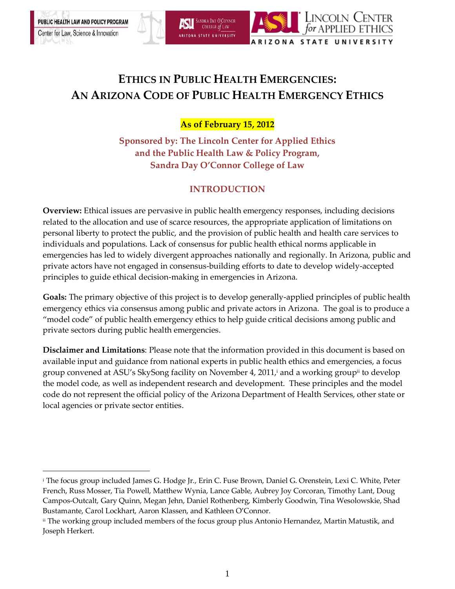Center for Law, Science & Innovation

 $\overline{a}$ 



## **ETHICS IN PUBLIC HEALTH EMERGENCIES: AN ARIZONA CODE OF PUBLIC HEALTH EMERGENCY ETHICS**

**As of February 15, 2012**

**Sponsored by: The Lincoln Center for Applied Ethics and the Public Health Law & Policy Program, Sandra Day O'Connor College of Law**

## **INTRODUCTION**

**Overview:** Ethical issues are pervasive in public health emergency responses, including decisions related to the allocation and use of scarce resources, the appropriate application of limitations on personal liberty to protect the public, and the provision of public health and health care services to individuals and populations. Lack of consensus for public health ethical norms applicable in emergencies has led to widely divergent approaches nationally and regionally. In Arizona, public and private actors have not engaged in consensus-building efforts to date to develop widely-accepted principles to guide ethical decision-making in emergencies in Arizona.

**Goals:** The primary objective of this project is to develop generally-applied principles of public health emergency ethics via consensus among public and private actors in Arizona. The goal is to produce a "model code" of public health emergency ethics to help guide critical decisions among public and private sectors during public health emergencies.

**Disclaimer and Limitations**: Please note that the information provided in this document is based on available input and guidance from national experts in public health ethics and emergencies, a focus group convened at ASU's SkySong facility on November 4, 2011, <sup>i</sup> and a working groupii to develop the model code, as well as independent research and development. These principles and the model code do not represent the official policy of the Arizona Department of Health Services, other state or local agencies or private sector entities.

<sup>i</sup> The focus group included James G. Hodge Jr., Erin C. Fuse Brown, Daniel G. Orenstein, Lexi C. White, Peter French, Russ Mosser, Tia Powell, Matthew Wynia, Lance Gable, Aubrey Joy Corcoran, Timothy Lant, Doug Campos-Outcalt, Gary Quinn, Megan Jehn, Daniel Rothenberg, Kimberly Goodwin, Tina Wesolowskie, Shad Bustamante, Carol Lockhart, Aaron Klassen, and Kathleen O'Connor.

ii The working group included members of the focus group plus Antonio Hernandez, Martin Matustik, and Joseph Herkert.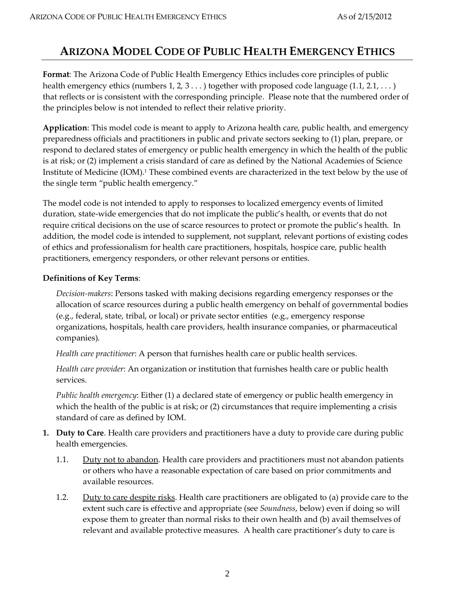## **ARIZONA MODEL CODE OF PUBLIC HEALTH EMERGENCY ETHICS**

**Format**: The Arizona Code of Public Health Emergency Ethics includes core principles of public health emergency ethics (numbers  $1, 2, 3...$ ) together with proposed code language  $(1.1, 2.1, ...)$ that reflects or is consistent with the corresponding principle. Please note that the numbered order of the principles below is not intended to reflect their relative priority.

**Application**: This model code is meant to apply to Arizona health care, public health, and emergency preparedness officials and practitioners in public and private sectors seeking to (1) plan, prepare, or respond to declared states of emergency or public health emergency in which the health of the public is at risk; or (2) implement a crisis standard of care as defined by the National Academies of Science Institute of Medicine (IOM). <sup>1</sup> These combined events are characterized in the text below by the use of the single term "public health emergency."

The model code is not intended to apply to responses to localized emergency events of limited duration, state-wide emergencies that do not implicate the public's health, or events that do not require critical decisions on the use of scarce resources to protect or promote the public's health. In addition, the model code is intended to supplement, not supplant, relevant portions of existing codes of ethics and professionalism for health care practitioners, hospitals, hospice care, public health practitioners, emergency responders, or other relevant persons or entities.

## **Definitions of Key Terms**:

*Decision-makers*: Persons tasked with making decisions regarding emergency responses or the allocation of scarce resources during a public health emergency on behalf of governmental bodies (e.g., federal, state, tribal, or local) or private sector entities (e.g., emergency response organizations, hospitals, health care providers, health insurance companies, or pharmaceutical companies).

*Health care practitioner*: A person that furnishes health care or public health services.

*Health care provider*: An organization or institution that furnishes health care or public health services.

*Public health emergency*: Either (1) a declared state of emergency or public health emergency in which the health of the public is at risk; or (2) circumstances that require implementing a crisis standard of care as defined by IOM.

- **1. Duty to Care**. Health care providers and practitioners have a duty to provide care during public health emergencies.
	- 1.1. Duty not to abandon. Health care providers and practitioners must not abandon patients or others who have a reasonable expectation of care based on prior commitments and available resources.
	- 1.2. Duty to care despite risks. Health care practitioners are obligated to (a) provide care to the extent such care is effective and appropriate (see *Soundness*, below) even if doing so will expose them to greater than normal risks to their own health and (b) avail themselves of relevant and available protective measures. A health care practitioner's duty to care is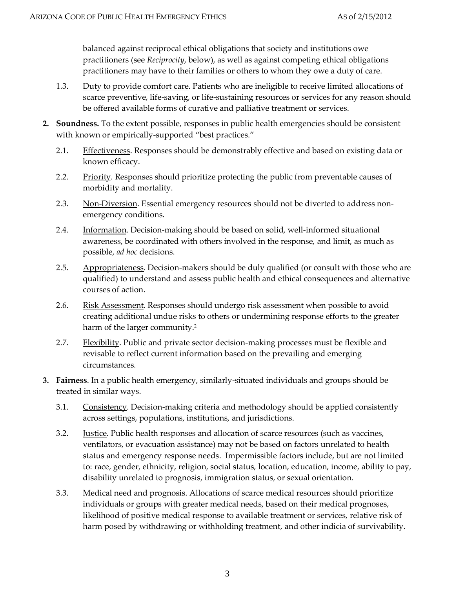balanced against reciprocal ethical obligations that society and institutions owe practitioners (see *Reciprocity*, below), as well as against competing ethical obligations practitioners may have to their families or others to whom they owe a duty of care.

- 1.3. Duty to provide comfort care. Patients who are ineligible to receive limited allocations of scarce preventive, life-saving, or life-sustaining resources or services for any reason should be offered available forms of curative and palliative treatment or services.
- **2. Soundness.** To the extent possible, responses in public health emergencies should be consistent with known or empirically-supported "best practices."
	- 2.1. Effectiveness. Responses should be demonstrably effective and based on existing data or known efficacy.
	- 2.2. Priority. Responses should prioritize protecting the public from preventable causes of morbidity and mortality.
	- 2.3. Non-Diversion. Essential emergency resources should not be diverted to address nonemergency conditions.
	- 2.4. Information. Decision-making should be based on solid, well-informed situational awareness, be coordinated with others involved in the response, and limit, as much as possible, *ad hoc* decisions.
	- 2.5. Appropriateness. Decision-makers should be duly qualified (or consult with those who are qualified) to understand and assess public health and ethical consequences and alternative courses of action.
	- 2.6. Risk Assessment. Responses should undergo risk assessment when possible to avoid creating additional undue risks to others or undermining response efforts to the greater harm of the larger community.<sup>2</sup>
	- 2.7. **Flexibility**. Public and private sector decision-making processes must be flexible and revisable to reflect current information based on the prevailing and emerging circumstances.
- **3. Fairness**. In a public health emergency, similarly-situated individuals and groups should be treated in similar ways.
	- 3.1. Consistency. Decision-making criteria and methodology should be applied consistently across settings, populations, institutions, and jurisdictions.
	- 3.2. **Justice**. Public health responses and allocation of scarce resources (such as vaccines, ventilators, or evacuation assistance) may not be based on factors unrelated to health status and emergency response needs. Impermissible factors include, but are not limited to: race, gender, ethnicity, religion, social status, location, education, income, ability to pay, disability unrelated to prognosis, immigration status, or sexual orientation.
	- 3.3. Medical need and prognosis. Allocations of scarce medical resources should prioritize individuals or groups with greater medical needs, based on their medical prognoses, likelihood of positive medical response to available treatment or services, relative risk of harm posed by withdrawing or withholding treatment, and other indicia of survivability.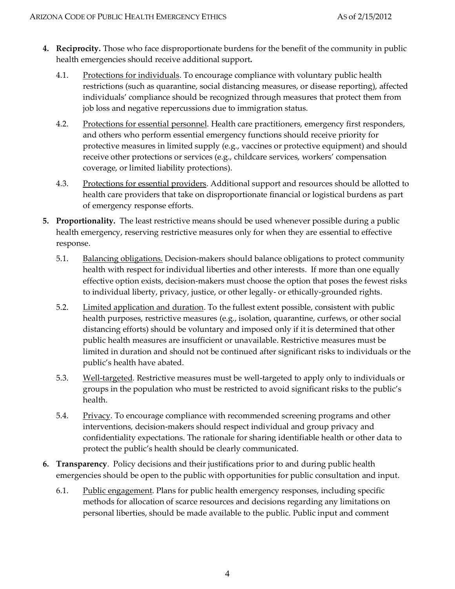- **4. Reciprocity.** Those who face disproportionate burdens for the benefit of the community in public health emergencies should receive additional support**.** 
	- 4.1. Protections for individuals. To encourage compliance with voluntary public health restrictions (such as quarantine, social distancing measures, or disease reporting), affected individuals' compliance should be recognized through measures that protect them from job loss and negative repercussions due to immigration status.
	- 4.2. Protections for essential personnel. Health care practitioners, emergency first responders, and others who perform essential emergency functions should receive priority for protective measures in limited supply (e.g., vaccines or protective equipment) and should receive other protections or services (e.g., childcare services, workers' compensation coverage, or limited liability protections).
	- 4.3. Protections for essential providers. Additional support and resources should be allotted to health care providers that take on disproportionate financial or logistical burdens as part of emergency response efforts.
- **5. Proportionality.** The least restrictive means should be used whenever possible during a public health emergency, reserving restrictive measures only for when they are essential to effective response.
	- 5.1. Balancing obligations. Decision-makers should balance obligations to protect community health with respect for individual liberties and other interests. If more than one equally effective option exists, decision-makers must choose the option that poses the fewest risks to individual liberty, privacy, justice, or other legally- or ethically-grounded rights.
	- 5.2. Limited application and duration. To the fullest extent possible, consistent with public health purposes, restrictive measures (e.g., isolation, quarantine, curfews, or other social distancing efforts) should be voluntary and imposed only if it is determined that other public health measures are insufficient or unavailable. Restrictive measures must be limited in duration and should not be continued after significant risks to individuals or the public's health have abated.
	- 5.3. Well-targeted. Restrictive measures must be well-targeted to apply only to individuals or groups in the population who must be restricted to avoid significant risks to the public's health.
	- 5.4. Privacy. To encourage compliance with recommended screening programs and other interventions, decision-makers should respect individual and group privacy and confidentiality expectations. The rationale for sharing identifiable health or other data to protect the public's health should be clearly communicated.
- **6. Transparency**. Policy decisions and their justifications prior to and during public health emergencies should be open to the public with opportunities for public consultation and input.
	- 6.1. Public engagement. Plans for public health emergency responses, including specific methods for allocation of scarce resources and decisions regarding any limitations on personal liberties, should be made available to the public. Public input and comment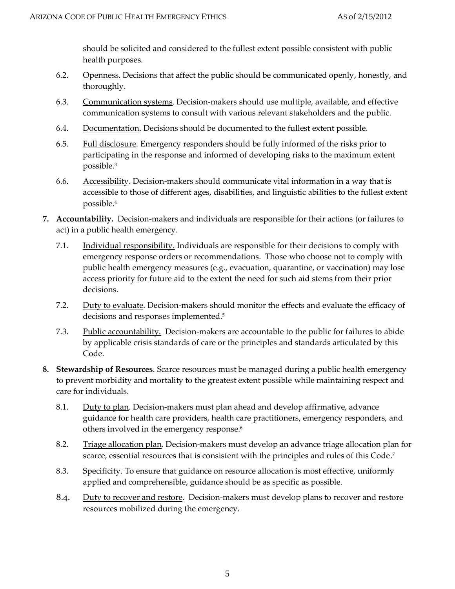should be solicited and considered to the fullest extent possible consistent with public health purposes.

- 6.2. Openness. Decisions that affect the public should be communicated openly, honestly, and thoroughly.
- 6.3. Communication systems. Decision-makers should use multiple, available, and effective communication systems to consult with various relevant stakeholders and the public.
- 6.4. Documentation. Decisions should be documented to the fullest extent possible.
- 6.5. Full disclosure. Emergency responders should be fully informed of the risks prior to participating in the response and informed of developing risks to the maximum extent possible.<sup>3</sup>
- 6.6. Accessibility. Decision-makers should communicate vital information in a way that is accessible to those of different ages, disabilities, and linguistic abilities to the fullest extent possible. 4
- **7. Accountability.** Decision-makers and individuals are responsible for their actions (or failures to act) in a public health emergency.
	- 7.1. Individual responsibility. Individuals are responsible for their decisions to comply with emergency response orders or recommendations. Those who choose not to comply with public health emergency measures (e.g., evacuation, quarantine, or vaccination) may lose access priority for future aid to the extent the need for such aid stems from their prior decisions.
	- 7.2. Duty to evaluate. Decision-makers should monitor the effects and evaluate the efficacy of decisions and responses implemented. 5
	- 7.3. Public accountability. Decision-makers are accountable to the public for failures to abide by applicable crisis standards of care or the principles and standards articulated by this Code.
- **8. Stewardship of Resources**. Scarce resources must be managed during a public health emergency to prevent morbidity and mortality to the greatest extent possible while maintaining respect and care for individuals.
	- 8.1. Duty to plan. Decision-makers must plan ahead and develop affirmative, advance guidance for health care providers, health care practitioners, emergency responders, and others involved in the emergency response. 6
	- 8.2. Triage allocation plan. Decision-makers must develop an advance triage allocation plan for scarce, essential resources that is consistent with the principles and rules of this Code. 7
	- 8.3. Specificity. To ensure that guidance on resource allocation is most effective, uniformly applied and comprehensible, guidance should be as specific as possible.
	- 8.4. Duty to recover and restore. Decision-makers must develop plans to recover and restore resources mobilized during the emergency.